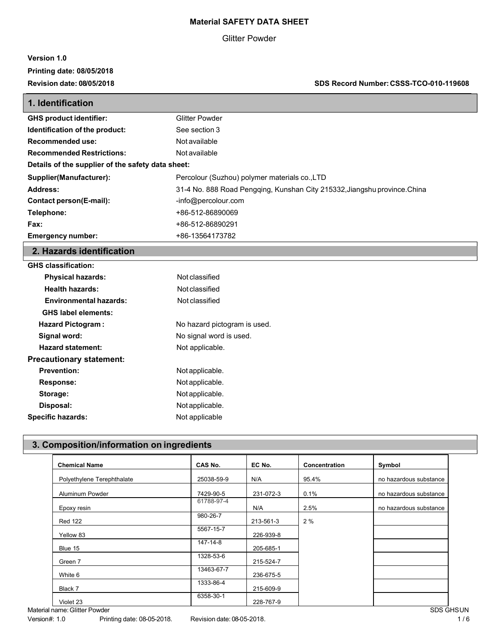#### **Material SAFETY DATA SHEET**

#### Glitter Powder

#### **Version 1.0 Printing date: 08/05/2018**

**Revision date: 08/05/2018 SDS Record Number:CSSS-TCO-010-119608**

| 1. Identification                                 |                                                                           |  |
|---------------------------------------------------|---------------------------------------------------------------------------|--|
| <b>GHS product identifier:</b>                    | <b>Glitter Powder</b>                                                     |  |
| Identification of the product:                    | See section 3                                                             |  |
| Recommended use:                                  | Not available                                                             |  |
| <b>Recommended Restrictions:</b>                  | Not available                                                             |  |
| Details of the supplier of the safety data sheet: |                                                                           |  |
| Supplier(Manufacturer):                           | Percolour (Suzhou) polymer materials co., LTD                             |  |
| Address:                                          | 31-4 No. 888 Road Pengging, Kunshan City 215332, Jiangshu province. China |  |
| Contact person(E-mail):                           | -info@percolour.com                                                       |  |
| Telephone:                                        | +86-512-86890069                                                          |  |
| Fax:                                              | +86-512-86890291                                                          |  |
| <b>Emergency number:</b>                          | +86-13564173782                                                           |  |

## **2. Hazards identification**

| <b>GHS classification:</b>      |                              |  |
|---------------------------------|------------------------------|--|
| <b>Physical hazards:</b>        | Not classified               |  |
| <b>Health hazards:</b>          | Not classified               |  |
| <b>Environmental hazards:</b>   | Not classified               |  |
| <b>GHS label elements:</b>      |                              |  |
| <b>Hazard Pictogram:</b>        | No hazard pictogram is used. |  |
| Signal word:                    | No signal word is used.      |  |
| <b>Hazard statement:</b>        | Not applicable.              |  |
| <b>Precautionary statement:</b> |                              |  |
| <b>Prevention:</b>              | Not applicable.              |  |
| Response:                       | Not applicable.              |  |
| Storage:                        | Not applicable.              |  |
| Disposal:                       | Not applicable.              |  |
| <b>Specific hazards:</b>        | Not applicable               |  |

## **3. Composition/information on ingredients**

| <b>Chemical Name</b>       | CAS No.    | EC No.    | Concentration | Symbol                 |
|----------------------------|------------|-----------|---------------|------------------------|
| Polyethylene Terephthalate | 25038-59-9 | N/A       | 95.4%         | no hazardous substance |
| Aluminum Powder            | 7429-90-5  | 231-072-3 | 0.1%          | no hazardous substance |
| Epoxy resin                | 61788-97-4 | N/A       | 2.5%          | no hazardous substance |
| <b>Red 122</b>             | 980-26-7   | 213-561-3 | 2%            |                        |
| Yellow 83                  | 5567-15-7  | 226-939-8 |               |                        |
| Blue 15                    | 147-14-8   | 205-685-1 |               |                        |
| Green 7                    | 1328-53-6  | 215-524-7 |               |                        |
| White 6                    | 13463-67-7 | 236-675-5 |               |                        |
| Black 7                    | 1333-86-4  | 215-609-9 |               |                        |
| Violet 23                  | 6358-30-1  | 228-767-9 |               |                        |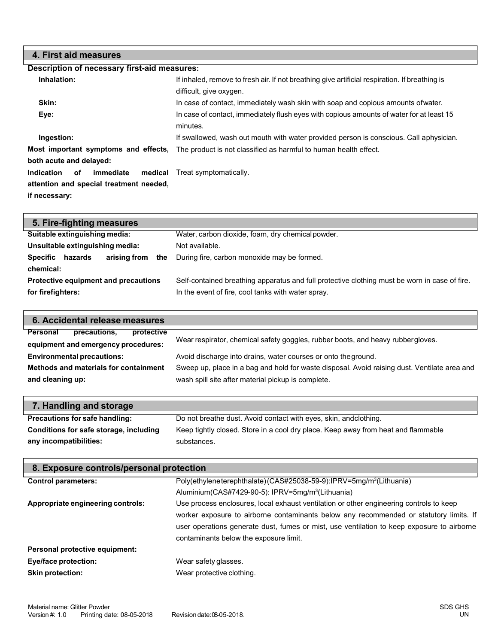| 4. First aid measures                                                                     |                                                                                                              |
|-------------------------------------------------------------------------------------------|--------------------------------------------------------------------------------------------------------------|
| Description of necessary first-aid measures:                                              |                                                                                                              |
| Inhalation:                                                                               | If inhaled, remove to fresh air. If not breathing give artificial respiration. If breathing is               |
|                                                                                           | difficult, give oxygen.                                                                                      |
| Skin:                                                                                     | In case of contact, immediately wash skin with soap and copious amounts of water.                            |
| Eye:                                                                                      | In case of contact, immediately flush eyes with copious amounts of water for at least 15<br>minutes.         |
| Ingestion:                                                                                | If swallowed, wash out mouth with water provided person is conscious. Call aphysician.                       |
| both acute and delayed:                                                                   | <b>Most important symptoms and effects.</b> The product is not classified as harmful to human health effect. |
| Indication<br>of<br>immediate<br>attention and special treatment needed,<br>if necessary: | <b>medical</b> Treat symptomatically.                                                                        |
|                                                                                           |                                                                                                              |

| 5. Fire-fighting measures                  |                                                                                               |
|--------------------------------------------|-----------------------------------------------------------------------------------------------|
| Suitable extinguishing media:              | Water, carbon dioxide, foam, dry chemical powder.                                             |
| Unsuitable extinguishing media:            | Not available.                                                                                |
| arising from<br>hazards<br>Specific<br>the | During fire, carbon monoxide may be formed.                                                   |
| chemical:                                  |                                                                                               |
| Protective equipment and precautions       | Self-contained breathing apparatus and full protective clothing must be worn in case of fire. |
| for firefighters:                          | In the event of fire, cool tanks with water spray.                                            |
|                                            |                                                                                               |

| 6. Accidental release measures                                                |                                                                                              |  |
|-------------------------------------------------------------------------------|----------------------------------------------------------------------------------------------|--|
| Personal<br>precautions.<br>protective<br>equipment and emergency procedures: | Wear respirator, chemical safety goggles, rubber boots, and heavy rubbergloves.              |  |
| <b>Environmental precautions:</b>                                             | Avoid discharge into drains, water courses or onto the ground.                               |  |
| Methods and materials for containment                                         | Sweep up, place in a bag and hold for waste disposal. Avoid raising dust. Ventilate area and |  |
| and cleaning up:                                                              | wash spill site after material pickup is complete.                                           |  |
|                                                                               |                                                                                              |  |

| 7. Handling and storage                |                                                                                   |
|----------------------------------------|-----------------------------------------------------------------------------------|
| Precautions for safe handling:         | Do not breathe dust. Avoid contact with eyes, skin, and clothing.                 |
| Conditions for safe storage, including | Keep tightly closed. Store in a cool dry place. Keep away from heat and flammable |
| any incompatibilities:                 | substances.                                                                       |

| 8. Exposure controls/personal protection |                                                                                            |  |
|------------------------------------------|--------------------------------------------------------------------------------------------|--|
| <b>Control parameters:</b>               | Poly(ethyleneterephthalate)(CAS#25038-59-9):IPRV=5mg/m <sup>3</sup> (Lithuania)            |  |
|                                          | Aluminium (CAS#7429-90-5): IPRV=5mg/m <sup>3</sup> (Lithuania)                             |  |
| Appropriate engineering controls:        | Use process enclosures, local exhaust ventilation or other engineering controls to keep    |  |
|                                          | worker exposure to airborne contaminants below any recommended or statutory limits. If     |  |
|                                          | user operations generate dust, fumes or mist, use ventilation to keep exposure to airborne |  |
|                                          | contaminants below the exposure limit.                                                     |  |
| Personal protective equipment:           |                                                                                            |  |
| Eye/face protection:                     | Wear safety glasses.                                                                       |  |
| <b>Skin protection:</b>                  | Wear protective clothing.                                                                  |  |
|                                          |                                                                                            |  |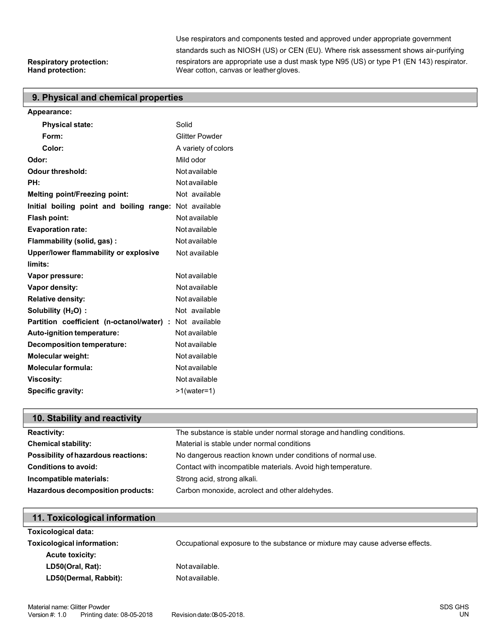Use respirators and components tested and approved under appropriate government standards such as NIOSH (US) or CEN (EU). Where risk assessment shows air-purifying respirators are appropriate use a dust mask type N95 (US) or type P1 (EN 143) respirator. Wear cotton, canvas or leather gloves.

# **Respiratory protection:**

#### **9. Physical and chemical properties**

| Appearance:                                             |                       |
|---------------------------------------------------------|-----------------------|
| <b>Physical state:</b>                                  | Solid                 |
| Form:                                                   | <b>Glitter Powder</b> |
| Color:                                                  | A variety of colors   |
| Odor:                                                   | Mild odor             |
| <b>Odour threshold:</b>                                 | Not available         |
| PH:                                                     | Not available         |
| <b>Melting point/Freezing point:</b>                    | Not available         |
| Initial boiling point and boiling range: Not available  |                       |
| Flash point:                                            | Not available         |
| <b>Evaporation rate:</b>                                | <b>Not available</b>  |
| Flammability (solid, gas):                              | Not available         |
| Upper/lower flammability or explosive                   | Not available         |
| limits:                                                 |                       |
| Vapor pressure:                                         | Not available         |
| Vapor density:                                          | Not available         |
| <b>Relative density:</b>                                | Not available         |
| Solubility $(H2O)$ :                                    | Not available         |
| Partition coefficient (n-octanol/water) : Not available |                       |
| Auto-ignition temperature:                              | Not available         |
| <b>Decomposition temperature:</b>                       | Not available         |
| Molecular weight:                                       | Not available         |
| <b>Molecular formula:</b>                               | Not available         |
| <b>Viscosity:</b>                                       | Not available         |
| Specific gravity:                                       | $>1$ (water=1)        |

## **10. Stability and reactivity**

| <b>Reactivity:</b>                       | The substance is stable under normal storage and handling conditions. |
|------------------------------------------|-----------------------------------------------------------------------|
| <b>Chemical stability:</b>               | Material is stable under normal conditions                            |
| Possibility of hazardous reactions:      | No dangerous reaction known under conditions of normal use.           |
| <b>Conditions to avoid:</b>              | Contact with incompatible materials. Avoid high temperature.          |
| Incompatible materials:                  | Strong acid, strong alkali.                                           |
| <b>Hazardous decomposition products:</b> | Carbon monoxide, acrolect and other aldehydes.                        |
|                                          |                                                                       |

| 11. Toxicological information     |                                                                              |
|-----------------------------------|------------------------------------------------------------------------------|
| <b>Toxicological data:</b>        |                                                                              |
| <b>Toxicological information:</b> | Occupational exposure to the substance or mixture may cause adverse effects. |
| <b>Acute toxicity:</b>            |                                                                              |
| LD50(Oral, Rat):                  | Not available.                                                               |
| LD50(Dermal, Rabbit):             | Not available.                                                               |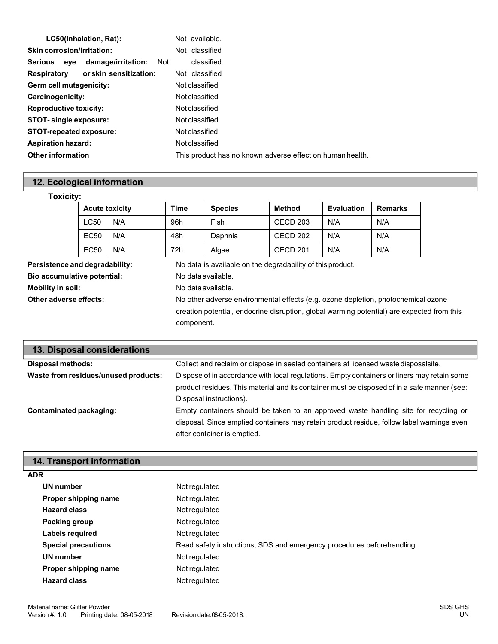| LC50(Inhalation, Rat):                   | Not available.                                            |
|------------------------------------------|-----------------------------------------------------------|
| <b>Skin corrosion/Irritation:</b>        | Not classified                                            |
| damage/irritation:<br>Not<br>Serious eye | classified                                                |
| or skin sensitization:<br>Respiratory    | Not classified                                            |
| Germ cell mutagenicity:                  | Not classified                                            |
| Carcinogenicity:                         | Not classified                                            |
| <b>Reproductive toxicity:</b>            | Not classified                                            |
| <b>STOT-single exposure:</b>             | Not classified                                            |
| <b>STOT-repeated exposure:</b>           | Not classified                                            |
| <b>Aspiration hazard:</b>                | Not classified                                            |
| <b>Other information</b>                 | This product has no known adverse effect on human health. |

## **12. Ecological information**

| <b>Toxicity:</b>                   |                       |                    |                                                                                            |                |                                                            |                   |                |
|------------------------------------|-----------------------|--------------------|--------------------------------------------------------------------------------------------|----------------|------------------------------------------------------------|-------------------|----------------|
|                                    | <b>Acute toxicity</b> |                    | <b>Time</b>                                                                                | <b>Species</b> | Method                                                     | <b>Evaluation</b> | <b>Remarks</b> |
|                                    | <b>LC50</b>           | N/A                | 96h                                                                                        | Fish           | OECD <sub>203</sub>                                        | N/A               | N/A            |
|                                    | <b>EC50</b>           | N/A                | 48h                                                                                        | Daphnia        | OECD <sub>202</sub>                                        | N/A               | N/A            |
|                                    | <b>EC50</b>           | N/A                | 72h                                                                                        | Algae          | OECD <sub>201</sub>                                        | N/A               | N/A            |
| Persistence and degradability:     |                       |                    |                                                                                            |                | No data is available on the degradability of this product. |                   |                |
| <b>Bio accumulative potential:</b> |                       | No data available. |                                                                                            |                |                                                            |                   |                |
| Mobility in soil:                  |                       | No data available. |                                                                                            |                |                                                            |                   |                |
| Other adverse effects:             |                       |                    | No other adverse environmental effects (e.g. ozone depletion, photochemical ozone          |                |                                                            |                   |                |
|                                    |                       |                    | creation potential, endocrine disruption, global warming potential) are expected from this |                |                                                            |                   |                |
|                                    |                       |                    |                                                                                            | component.     |                                                            |                   |                |

| 13. Disposal considerations          |                                                                                              |
|--------------------------------------|----------------------------------------------------------------------------------------------|
| Disposal methods:                    | Collect and reclaim or dispose in sealed containers at licensed waste disposalsite.          |
| Waste from residues/unused products: | Dispose of in accordance with local regulations. Empty containers or liners may retain some  |
|                                      | product residues. This material and its container must be disposed of in a safe manner (see: |
|                                      | Disposal instructions).                                                                      |
| Contaminated packaging:              | Empty containers should be taken to an approved waste handling site for recycling or         |
|                                      | disposal. Since emptied containers may retain product residue, follow label warnings even    |
|                                      | after container is emptied.                                                                  |

| <b>14. Transport information</b> |                                                                        |
|----------------------------------|------------------------------------------------------------------------|
| <b>ADR</b>                       |                                                                        |
| UN number                        | Not regulated                                                          |
| Proper shipping name             | Not regulated                                                          |
| <b>Hazard class</b>              | Not regulated                                                          |
| Packing group                    | Not regulated                                                          |
| Labels required                  | Not regulated                                                          |
| <b>Special precautions</b>       | Read safety instructions, SDS and emergency procedures beforehandling. |
| UN number                        | Not regulated                                                          |
| Proper shipping name             | Not regulated                                                          |
| <b>Hazard class</b>              | Not regulated                                                          |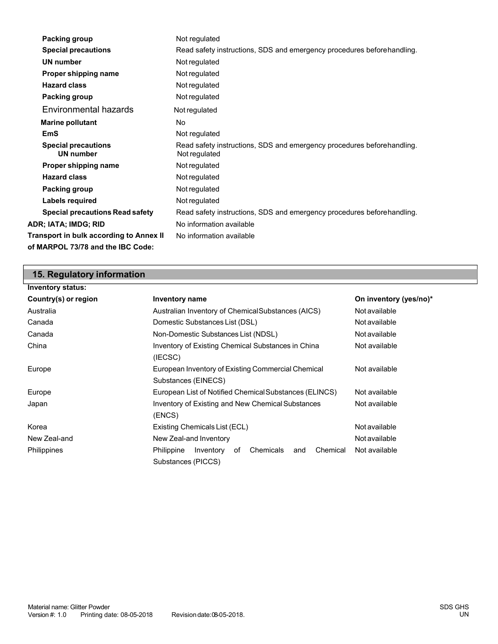| Packing group                           | Not regulated                                                                           |
|-----------------------------------------|-----------------------------------------------------------------------------------------|
| <b>Special precautions</b>              | Read safety instructions, SDS and emergency procedures before handling.                 |
| <b>UN number</b>                        | Not regulated                                                                           |
| Proper shipping name                    | Not regulated                                                                           |
| <b>Hazard class</b>                     | Not regulated                                                                           |
| Packing group                           | Not regulated                                                                           |
| Environmental hazards                   | Not regulated                                                                           |
| <b>Marine pollutant</b>                 | No.                                                                                     |
| <b>EmS</b>                              | Not regulated                                                                           |
| <b>Special precautions</b><br>UN number | Read safety instructions, SDS and emergency procedures beforehandling.<br>Not regulated |
| Proper shipping name                    | Not regulated                                                                           |
| <b>Hazard class</b>                     | Not regulated                                                                           |
| Packing group                           | Not regulated                                                                           |
| Labels required                         | Not regulated                                                                           |
| <b>Special precautions Read safety</b>  | Read safety instructions, SDS and emergency procedures beforehandling.                  |
| ADR; IATA; IMDG; RID                    | No information available                                                                |
| Transport in bulk according to Annex II | No information available                                                                |
| of MARPOL 73/78 and the IBC Code:       |                                                                                         |

## **15. Regulatory information**

| <b>Inventory status:</b> |                                                                                     |                        |
|--------------------------|-------------------------------------------------------------------------------------|------------------------|
| Country(s) or region     | <b>Inventory name</b>                                                               | On inventory (yes/no)* |
| Australia                | Australian Inventory of ChemicalSubstances (AICS)                                   | Not available          |
| Canada                   | Domestic Substances List (DSL)                                                      | Not available          |
| Canada                   | Non-Domestic Substances List (NDSL)                                                 | Not available          |
| China                    | Inventory of Existing Chemical Substances in China<br>(IECSC)                       | Not available          |
| Europe                   | European Inventory of Existing Commercial Chemical<br>Substances (EINECS)           | Not available          |
| Europe                   | European List of Notified Chemical Substances (ELINCS)                              | Not available          |
| Japan                    | Inventory of Existing and New Chemical Substances<br>(ENCS)                         | Not available          |
| Korea                    | Existing Chemicals List (ECL)                                                       | Not available          |
| New Zeal-and             | New Zeal-and Inventory                                                              | Not available          |
| Philippines              | Chemical<br>Inventory<br>Chemicals<br>Philippine<br>оf<br>and<br>Substances (PICCS) | Not available          |